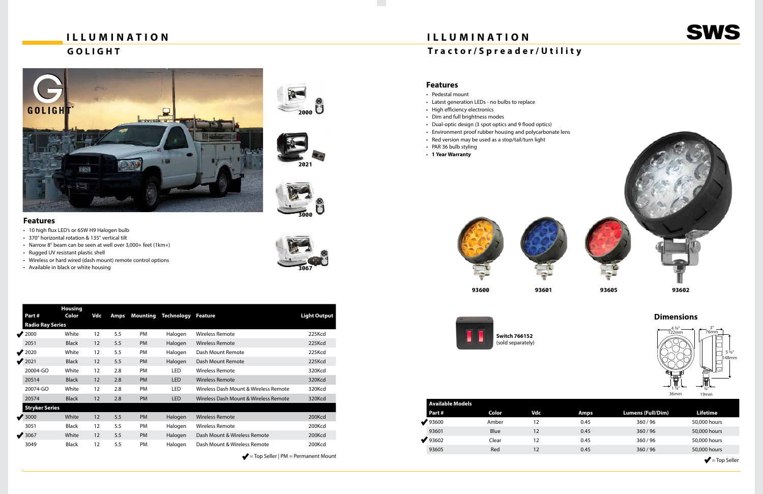# **GOLIGHT**



### **ILLUMINATION SWS ILLUMINATION Tractor/Spreader/Utility**

- Pedestal mount
- Latest generation LEDs no bulbs to replace
- High efficiency electronics
- Dim and full brightness modes
- Dual-optic design (3 spot optics and 9 flood optics)
- Environment proof rubber housing and polycarbonate lens
- Red version may be used as a stop/tail/turn light
- PAR 36 bulb styling
- **1 Year Warranty**







**Dimensions**





**Switch 766152** (sold separately)

| <b>Available Models</b> |       |     |  |  |  |  |  |
|-------------------------|-------|-----|--|--|--|--|--|
| Part#                   | Color | Vdc |  |  |  |  |  |
| 93600                   | Amber | 12  |  |  |  |  |  |
| 93601                   | Blue  | 12  |  |  |  |  |  |
| 93602                   | Clear | 12  |  |  |  |  |  |
| 93605                   | Red   | 12  |  |  |  |  |  |

| Avallable Muuels |       |     |             |                   |                                    |  |
|------------------|-------|-----|-------------|-------------------|------------------------------------|--|
| Part #           | Color | Vdc | <b>Amps</b> | Lumens (Full/Dim) | <b>Lifetime</b>                    |  |
| 93600            | Amber | 12  | 0.45        | 360/96            | 50,000 hours                       |  |
| 93601            | Blue  | 12  | 0.45        | 360/96            | 50,000 hours                       |  |
| 93602            | Clear | 12  | 0.45        | 360/96            | 50,000 hours                       |  |
| 93605            | Red   | 12  | 0.45        | 360/96            | 50,000 hours                       |  |
|                  |       |     |             |                   | $\blacktriangleright$ = Top Seller |  |

- 10 high flux LED's or 65W H9 Halogen bulb
- 370° horizontal rotation & 135° vertical tilt
- Narrow 8° beam can be seen at well over 3,000+ feet (1km+)
- Rugged UV resistant plastic shell
- Wireless or hard wired (dash mount) remote control options
- Available in black or white housing

#### **Features**

| Part #                  | <b>Housing</b><br>Color | Vdc | <b>Amps</b> | Mounting  | <b>Technology</b> | Feature                               | <b>Light Output</b> |
|-------------------------|-------------------------|-----|-------------|-----------|-------------------|---------------------------------------|---------------------|
| <b>Radio Ray Series</b> |                         |     |             |           |                   |                                       |                     |
| $\sqrt{2000}$           | White                   | 12  | 5.5         | <b>PM</b> | Halogen           | Wireless Remote                       | 225Kcd              |
| 2051                    | <b>Black</b>            | 12  | 5.5         | <b>PM</b> | Halogen           | <b>Wireless Remote</b>                | 225Kcd              |
| $\sqrt{2020}$           | White                   | 12  | 5.5         | PM        | Halogen           | Dash Mount Remote                     | 225Kcd              |
| $\sqrt{2021}$           | <b>Black</b>            | 12  | 5.5         | <b>PM</b> | Halogen           | Dash Mount Remote                     | 225Kcd              |
| 20004-GO                | White                   | 12  | 2.8         | PM        | LED               | Wireless Remote                       | 320Kcd              |
| 20514                   | <b>Black</b>            | 12  | 2.8         | <b>PM</b> | <b>LED</b>        | <b>Wireless Remote</b>                | 320Kcd              |
| 20074-GO                | White                   | 12  | 2.8         | PM        | LED               | Wireless Dash Mount & Wireless Remote | 320Kcd              |
| 20574                   | <b>Black</b>            | 12  | 2.8         | <b>PM</b> | <b>LED</b>        | Wireless Dash Mount & Wireless Remote | 320Kcd              |
| <b>Stryker Series</b>   |                         |     |             |           |                   |                                       |                     |
| $\sqrt{3000}$           | White                   | 12  | 5.5         | <b>PM</b> | Halogen           | <b>Wireless Remote</b>                | 200Kcd              |
| 3051                    | <b>Black</b>            | 12  | 5.5         | PM        | Halogen           | <b>Wireless Remote</b>                | 200Kcd              |
| $\sqrt{3067}$           | White                   | 12  | 5.5         | <b>PM</b> | Halogen           | Dash Mount & Wireless Remote          | 200Kcd              |
| 3049                    | <b>Black</b>            | 12  | 5.5         | PM        | Halogen           | Dash Mount & Wireless Remote          | 200Kcd              |

 $\blacktriangleright$  = Top Seller | PM = Permanent Mount

**2000**

**3000**



**2021**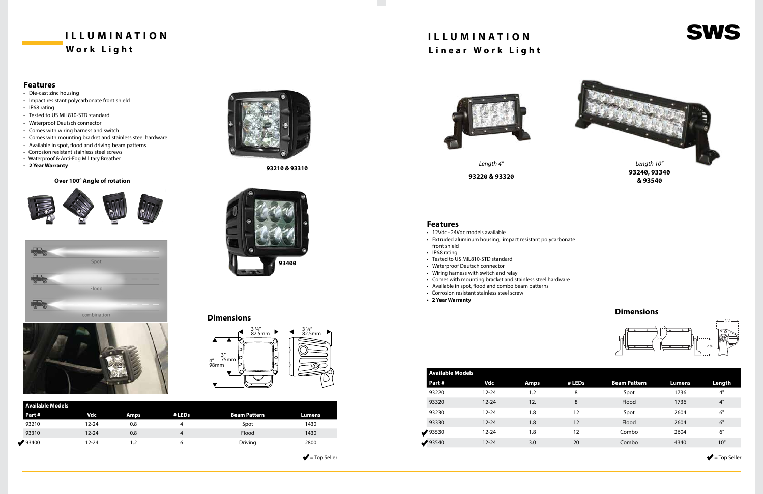

## **ILLUMINATION**

### **Work Light**

### **Dimensions**

- Die-cast zinc housing
- Impact resistant polycarbonate front shield
- IP68 rating
- Tested to US MIL810-STD standard
- Waterproof Deutsch connector
- Comes with wiring harness and switch
- Comes with mounting bracket and stainless steel hardware
- Available in spot, flood and driving beam patterns
- Corrosion resistant stainless steel screws
- Waterproof & Anti-Fog Military Breather
- **2 Year Warranty**

#### **Over 100° Angle of rotation**









#### **Features**

|                 | <b>Available Models</b> |             |        |                     |        |  |  |  |  |
|-----------------|-------------------------|-------------|--------|---------------------|--------|--|--|--|--|
| Part #          | <b>Vdc</b>              | <b>Amps</b> | # LEDs | <b>Beam Pattern</b> | Lumens |  |  |  |  |
| 93210           | $12 - 24$               | 0.8         | 4      | Spot                | 1430   |  |  |  |  |
| 93310           | $12 - 24$               | 0.8         | 4      | Flood               | 1430   |  |  |  |  |
| $\bigvee$ 93400 | $12 - 24$               | ے. ا        | ь      | Driving             | 2800   |  |  |  |  |

 $\blacktriangleright$  = Top Seller





**93210 & 93310**



| <b>Available Models</b> |           |      |  |  |  |  |  |
|-------------------------|-----------|------|--|--|--|--|--|
| Part#                   | Vdc       | Amps |  |  |  |  |  |
| 93220                   | $12 - 24$ | 1.2  |  |  |  |  |  |
| 93320                   | $12 - 24$ | 12.  |  |  |  |  |  |
| 93230                   | 12-24     | 1.8  |  |  |  |  |  |
| 93330                   | $12 - 24$ | 1.8  |  |  |  |  |  |
| 93530                   | $12 - 24$ | 1.8  |  |  |  |  |  |
| 93540                   | $12 - 24$ | 3.0  |  |  |  |  |  |

| Available Models |           |      |        |                     |        |        |  |  |
|------------------|-----------|------|--------|---------------------|--------|--------|--|--|
| Part #           | Vdc       | Amps | # LEDs | <b>Beam Pattern</b> | Lumens | Length |  |  |
| 93220            | $12 - 24$ | 1.2  | 8      | Spot                | 1736   | 4"     |  |  |
| 93320            | $12 - 24$ | 12.  | 8      | Flood               | 1736   | 4"     |  |  |
| 93230            | $12 - 24$ | 1.8  | 12     | Spot                | 2604   | 6"     |  |  |
| 93330            | $12 - 24$ | 1.8  | 12     | Flood               | 2604   | 6"     |  |  |
| 93530            | $12 - 24$ | 1.8  | 12     | Combo               | 2604   | 6"     |  |  |
| 93540            | $12 - 24$ | 3.0  | 20     | Combo               | 4340   | 10"    |  |  |
|                  |           |      |        |                     |        |        |  |  |

 $\blacktriangleright$  = Top Seller



- 12Vdc 24Vdc models available
- Extruded aluminum housing, impact resistant polycarbonate front shield
- IP68 rating
- Tested to US MIL810-STD standard
- Waterproof Deutsch connector
- Wiring harness with switch and relay
- Comes with mounting bracket and stainless steel hardware
- Available in spot, flood and combo beam patterns • Corrosion resistant stainless steel screw
- 
- **2 Year Warranty**

#### **Features**

**93220 & 93320 93240, 93340 & 93540**



### **ILLUMINATION Linear Work Light**